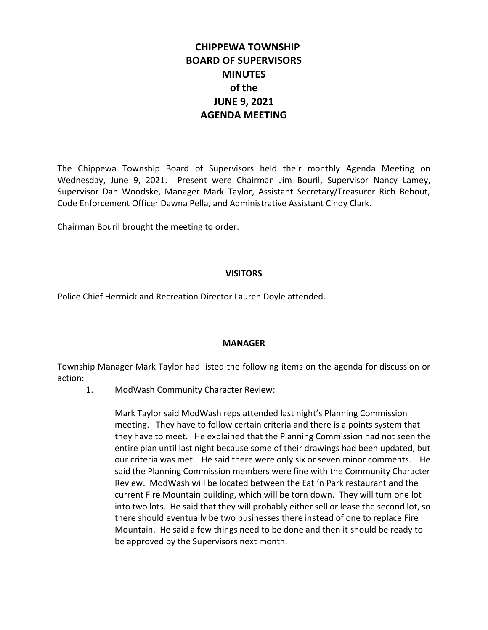# **CHIPPEWA TOWNSHIP BOARD OF SUPERVISORS MINUTES of the JUNE 9, 2021 AGENDA MEETING**

The Chippewa Township Board of Supervisors held their monthly Agenda Meeting on Wednesday, June 9, 2021. Present were Chairman Jim Bouril, Supervisor Nancy Lamey, Supervisor Dan Woodske, Manager Mark Taylor, Assistant Secretary/Treasurer Rich Bebout, Code Enforcement Officer Dawna Pella, and Administrative Assistant Cindy Clark.

Chairman Bouril brought the meeting to order.

#### **VISITORS**

Police Chief Hermick and Recreation Director Lauren Doyle attended.

### **MANAGER**

Township Manager Mark Taylor had listed the following items on the agenda for discussion or action:

1. ModWash Community Character Review:

Mark Taylor said ModWash reps attended last night's Planning Commission meeting. They have to follow certain criteria and there is a points system that they have to meet. He explained that the Planning Commission had not seen the entire plan until last night because some of their drawings had been updated, but our criteria was met. He said there were only six or seven minor comments. He said the Planning Commission members were fine with the Community Character Review. ModWash will be located between the Eat 'n Park restaurant and the current Fire Mountain building, which will be torn down. They will turn one lot into two lots. He said that they will probably either sell or lease the second lot, so there should eventually be two businesses there instead of one to replace Fire Mountain. He said a few things need to be done and then it should be ready to be approved by the Supervisors next month.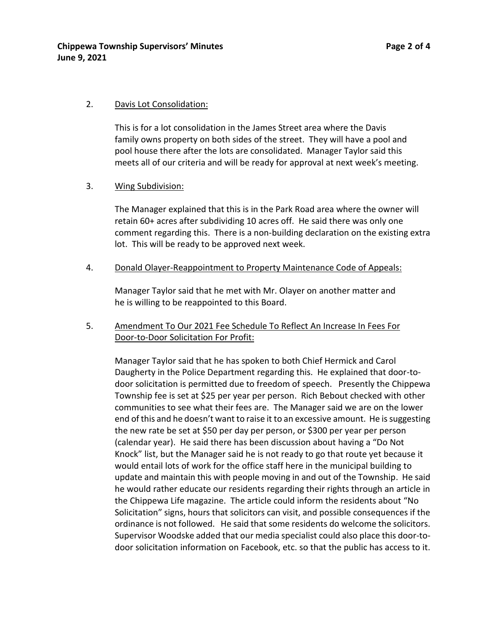#### 2. Davis Lot Consolidation:

This is for a lot consolidation in the James Street area where the Davis family owns property on both sides of the street. They will have a pool and pool house there after the lots are consolidated. Manager Taylor said this meets all of our criteria and will be ready for approval at next week's meeting.

### 3. Wing Subdivision:

The Manager explained that this is in the Park Road area where the owner will retain 60+ acres after subdividing 10 acres off. He said there was only one comment regarding this. There is a non-building declaration on the existing extra lot. This will be ready to be approved next week.

#### 4. Donald Olayer-Reappointment to Property Maintenance Code of Appeals:

Manager Taylor said that he met with Mr. Olayer on another matter and he is willing to be reappointed to this Board.

# 5. Amendment To Our 2021 Fee Schedule To Reflect An Increase In Fees For Door-to-Door Solicitation For Profit:

Manager Taylor said that he has spoken to both Chief Hermick and Carol Daugherty in the Police Department regarding this. He explained that door-todoor solicitation is permitted due to freedom of speech. Presently the Chippewa Township fee is set at \$25 per year per person. Rich Bebout checked with other communities to see what their fees are. The Manager said we are on the lower end of this and he doesn't want to raise it to an excessive amount. He is suggesting the new rate be set at \$50 per day per person, or \$300 per year per person (calendar year). He said there has been discussion about having a "Do Not Knock" list, but the Manager said he is not ready to go that route yet because it would entail lots of work for the office staff here in the municipal building to update and maintain this with people moving in and out of the Township. He said he would rather educate our residents regarding their rights through an article in the Chippewa Life magazine. The article could inform the residents about "No Solicitation" signs, hours that solicitors can visit, and possible consequences if the ordinance is not followed. He said that some residents do welcome the solicitors. Supervisor Woodske added that our media specialist could also place this door-todoor solicitation information on Facebook, etc. so that the public has access to it.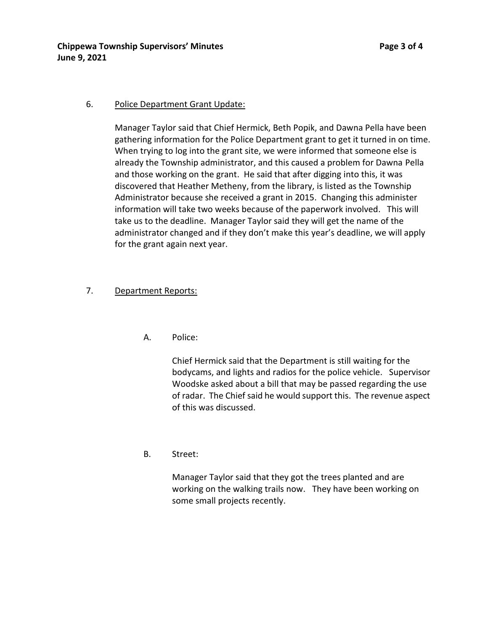### 6. Police Department Grant Update:

Manager Taylor said that Chief Hermick, Beth Popik, and Dawna Pella have been gathering information for the Police Department grant to get it turned in on time. When trying to log into the grant site, we were informed that someone else is already the Township administrator, and this caused a problem for Dawna Pella and those working on the grant. He said that after digging into this, it was discovered that Heather Metheny, from the library, is listed as the Township Administrator because she received a grant in 2015. Changing this administer information will take two weeks because of the paperwork involved. This will take us to the deadline. Manager Taylor said they will get the name of the administrator changed and if they don't make this year's deadline, we will apply for the grant again next year.

### 7. Department Reports:

A. Police:

Chief Hermick said that the Department is still waiting for the bodycams, and lights and radios for the police vehicle. Supervisor Woodske asked about a bill that may be passed regarding the use of radar. The Chief said he would support this. The revenue aspect of this was discussed.

B. Street:

Manager Taylor said that they got the trees planted and are working on the walking trails now. They have been working on some small projects recently.